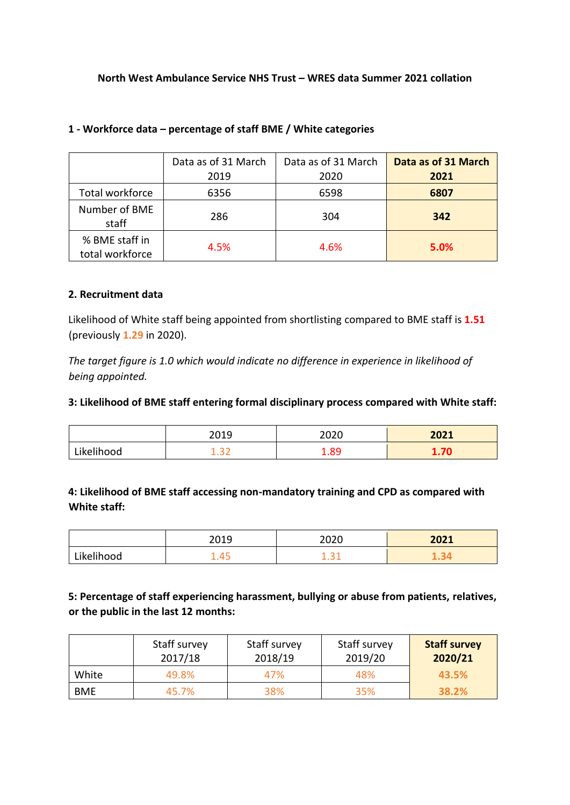### **North West Ambulance Service NHS Trust – WRES data Summer 2021 collation**

|                                   | Data as of 31 March<br>2019 | Data as of 31 March<br>2020 | Data as of 31 March<br>2021 |
|-----------------------------------|-----------------------------|-----------------------------|-----------------------------|
| Total workforce                   | 6356                        | 6598                        | 6807                        |
| Number of BME<br>staff            | 286                         | 304                         | 342                         |
| % BME staff in<br>total workforce | 4.5%                        | 4.6%                        | 5.0%                        |

### **1 - Workforce data – percentage of staff BME / White categories**

### **2. Recruitment data**

Likelihood of White staff being appointed from shortlisting compared to BME staff is **1.51** (previously **1.29** in 2020).

*The target figure is 1.0 which would indicate no difference in experience in likelihood of being appointed.* 

### **3: Likelihood of BME staff entering formal disciplinary process compared with White staff:**

|            | 2019             | 2020 | 2021 |
|------------|------------------|------|------|
| Likelihood | <u>_</u><br>1.JL | 1.89 | 1.70 |

### **4: Likelihood of BME staff accessing non-mandatory training and CPD as compared with White staff:**

|            | 2019        | 2020 | 2021 |
|------------|-------------|------|------|
| Likelihood | ∕≀<br>∡.—⊤ບ | .    |      |

## **5: Percentage of staff experiencing harassment, bullying or abuse from patients, relatives, or the public in the last 12 months:**

|            | Staff survey<br>2017/18 | Staff survey<br>2018/19 | Staff survey<br>2019/20 | <b>Staff survey</b><br>2020/21 |
|------------|-------------------------|-------------------------|-------------------------|--------------------------------|
| White      | 49.8%                   | 47%                     | 48%                     | 43.5%                          |
| <b>BME</b> | 45.7%                   | 38%                     | 35%                     | 38.2%                          |